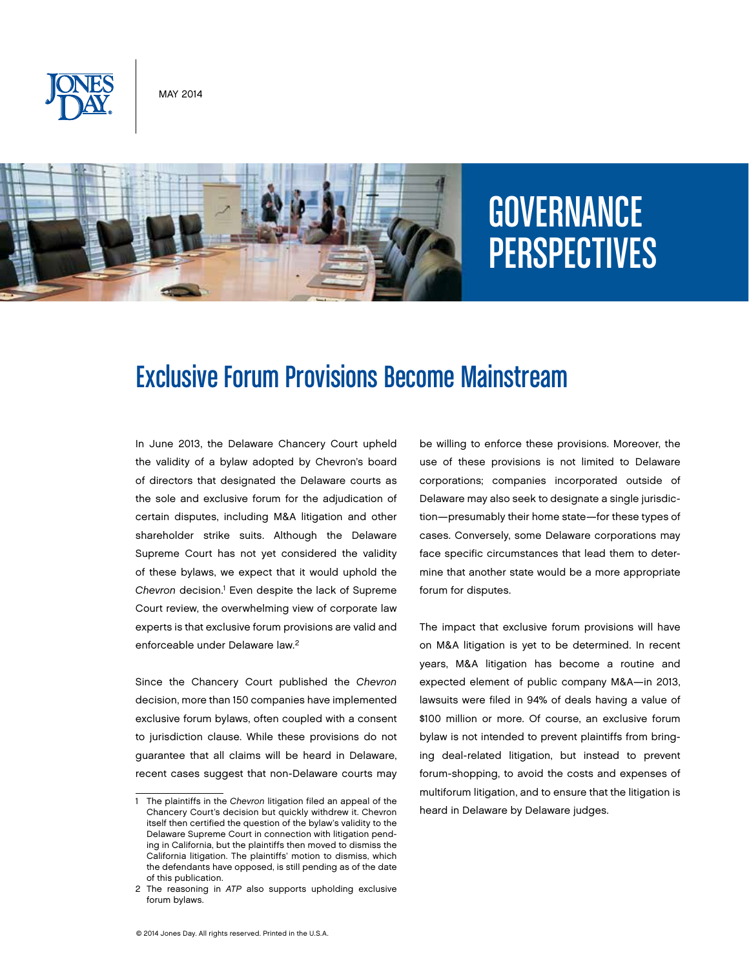

May 2014



# **GOVERNANCE** PERSPECTIVES

## Exclusive Forum Provisions Become Mainstream

In June 2013, the Delaware Chancery Court upheld the validity of a bylaw adopted by Chevron's board of directors that designated the Delaware courts as the sole and exclusive forum for the adjudication of certain disputes, including M&A litigation and other shareholder strike suits. Although the Delaware Supreme Court has not yet considered the validity of these bylaws, we expect that it would uphold the Chevron decision.<sup>1</sup> Even despite the lack of Supreme Court review, the overwhelming view of corporate law experts is that exclusive forum provisions are valid and enforceable under Delaware law.2

Since the Chancery Court published the *Chevron* decision, more than 150 companies have implemented exclusive forum bylaws, often coupled with a consent to jurisdiction clause. While these provisions do not guarantee that all claims will be heard in Delaware, recent cases suggest that non-Delaware courts may be willing to enforce these provisions. Moreover, the use of these provisions is not limited to Delaware corporations; companies incorporated outside of Delaware may also seek to designate a single jurisdiction—presumably their home state—for these types of cases. Conversely, some Delaware corporations may face specific circumstances that lead them to determine that another state would be a more appropriate forum for disputes.

The impact that exclusive forum provisions will have on M&A litigation is yet to be determined. In recent years, M&A litigation has become a routine and expected element of public company M&A—in 2013, lawsuits were filed in 94% of deals having a value of \$100 million or more. Of course, an exclusive forum bylaw is not intended to prevent plaintiffs from bringing deal-related litigation, but instead to prevent forum-shopping, to avoid the costs and expenses of multiforum litigation, and to ensure that the litigation is heard in Delaware by Delaware judges.

<sup>1</sup> The plaintiffs in the *Chevron* litigation filed an appeal of the Chancery Court's decision but quickly withdrew it. Chevron itself then certified the question of the bylaw's validity to the Delaware Supreme Court in connection with litigation pending in California, but the plaintiffs then moved to dismiss the California litigation. The plaintiffs' motion to dismiss, which the defendants have opposed, is still pending as of the date of this publication.

<sup>2</sup> The reasoning in *ATP* also supports upholding exclusive forum bylaws.